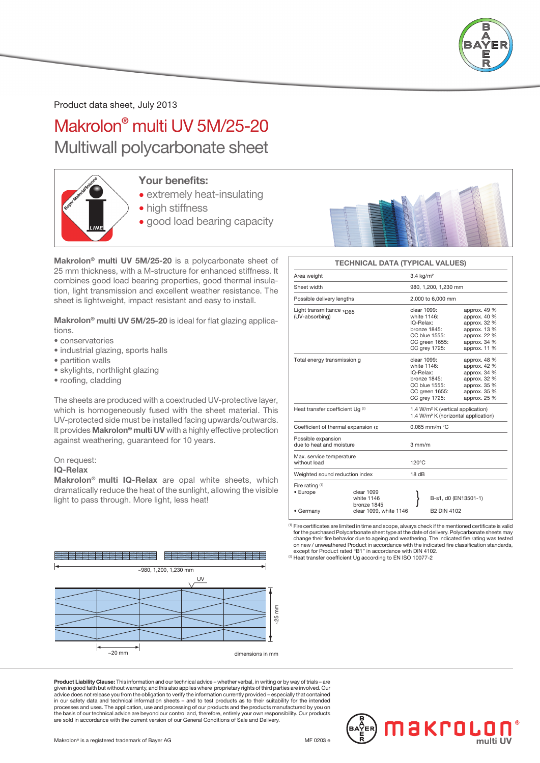

Product data sheet, July 2013

Makrolon® multi UV 5M/25-20 Multiwall polycarbonate sheet



### Your benefits:

- extremely heat-insulating
- high stiffness
- good load bearing capacity



TECHNICAL DATA (TYPICAL VALUES)

Light transmittance  $\tau_{\text{max}}$  clear 1099: approx. 49 %

Area weight 3.4 kg/m<sup>2</sup>

Sheet width 980, 1,200, 1,230 mm Possible delivery lengths 2,000 to 6,000 mm

### Makrolon® multi UV 5M/25-20 is a polycarbonate sheet of 25 mm thickness, with a M-structure for enhanced stiffness. It combines good load bearing properties, good thermal insulation, light transmission and excellent weather resistance. The sheet is lightweight, impact resistant and easy to install.

Makrolon<sup>®</sup> multi UV 5M/25-20 is ideal for flat glazing applications.

- conservatories
- industrial glazing, sports halls
- partition walls
- skylights, northlight glazing
- roofing, cladding

The sheets are produced with a coextruded UV-protective layer, which is homogeneously fused with the sheet material. This UV-protected side must be installed facing upwards/outwards. It provides Makrolon® multi UV with a highly effective protection against weathering, guaranteed for 10 years.

#### On request:

#### IQ-Relax

Makrolon® multi IQ-Relax are opal white sheets, which dramatically reduce the heat of the sunlight, allowing the visible light to pass through. More light, less heat!

| (UV-absorbing)                                 |                                                                                                  | white 1146:<br>IQ-Relax:<br>bronze 1845:         | CC blue 1555:<br>CC green 1655:<br>CC grey 1725:                                                             | approx. 40 %<br>approx. 32 %<br>approx. 13 %<br>approx. 22 %<br>approx. 34 %<br>approx. 11 % |  |  |  |  |
|------------------------------------------------|--------------------------------------------------------------------------------------------------|--------------------------------------------------|--------------------------------------------------------------------------------------------------------------|----------------------------------------------------------------------------------------------|--|--|--|--|
| Total energy transmission g                    | clear 1099:<br>white 1146:<br>IQ-Relax:<br>bronze 1845:                                          | CC blue 1555:<br>CC green 1655:<br>CC grey 1725: | approx. 48 %<br>approx. 42 %<br>approx. 34 %<br>approx. 32 %<br>approx, 35 %<br>approx. 35 %<br>approx. 25 % |                                                                                              |  |  |  |  |
| Heat transfer coefficient Ug (2)               | 1.4 W/m <sup>2</sup> K (vertical application)<br>1.4 W/m <sup>2</sup> K (horizontal application) |                                                  |                                                                                                              |                                                                                              |  |  |  |  |
| Coefficient of thermal expansion $\alpha$      |                                                                                                  |                                                  | $0.065$ mm/m $°C$                                                                                            |                                                                                              |  |  |  |  |
| Possible expansion<br>due to heat and moisture | $3 \text{ mm/m}$                                                                                 |                                                  |                                                                                                              |                                                                                              |  |  |  |  |
| Max. service temperature<br>without load       |                                                                                                  | $120^{\circ}$ C                                  |                                                                                                              |                                                                                              |  |  |  |  |
| Weighted sound reduction index                 |                                                                                                  | 18dB                                             |                                                                                                              |                                                                                              |  |  |  |  |
| Fire rating $(1)$<br>• Europe<br>• Germany     | clear 1099<br>white 1146<br>bronze 1845<br>clear 1099, white 1146                                |                                                  | <b>B2 DIN 4102</b>                                                                                           | B-s1, d0 (EN13501-1)                                                                         |  |  |  |  |

(1) Fire certificates are limited in time and scope, always check if the mentioned certificate is valid for the purchased Polycarbonate sheet type at the date of delivery. Polycarbonate sheets may change their fire behavior due to ageing and weathering. The indicated fire rating was tested on new / unweathered Product in accordance with the indicated fire classification standards, except for Product rated "B1" in accordance with DIN 4102.

<sup>(2)</sup> Heat transfer coefficient Ug according to EN ISO 10077-2



Product Liability Clause: This information and our technical advice – whether verbal, in writing or by way of trials given in good faith but without warranty, and this also applies where proprietary rights of third parties are involved. Our<br>advice does not release you from the obligation to verify the information currently provided – es processes and uses. The application, use and processing of our products and the products manufactured by you on<br>the basis of our technical advice are beyond our control and, therefore, entirely your own responsibility. Our